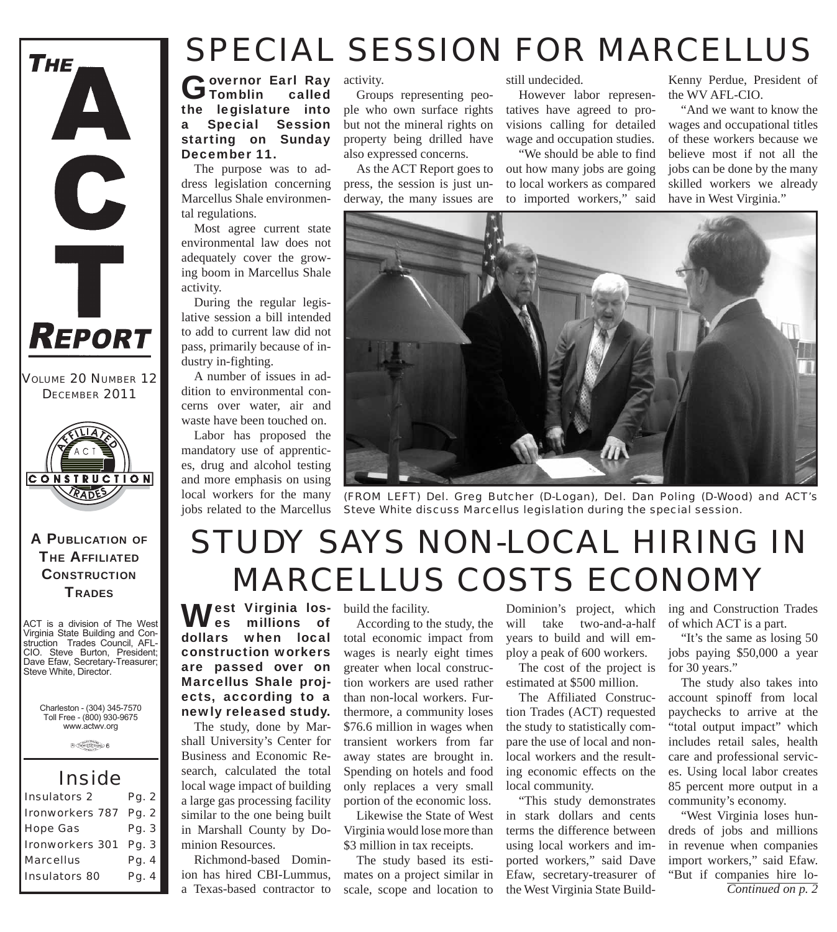

*VOLUME 20 NUMBER 12 DECEMBER 2011*



#### A PUBLICATION OF **THE AFFILIATED CONSTRUCTION TRADES**

ACT is a division of The West Virginia State Building and Construction Trades Council, AFL-CIO. Steve Burton, President; Dave Efaw, Secretary-Treasurer; Steve White, Director.

Charleston - (304) 345-7570 Toll Free - (800) 930-9675 www.actwv.org

 $\theta$  (restrictions)  $6$ 

#### *Inside*

| <b>Insulators 2</b>   | Pg. 2 |
|-----------------------|-------|
| Ironworkers 787 Pg. 2 |       |
| <b>Hope Gas</b>       | Pg. 3 |
| Ironworkers 301 Pg. 3 |       |
| <b>Marcellus</b>      | Pg. 4 |
| <b>Insulators 80</b>  | Pg. 4 |

#### *SPECIAL SESSION FOR MARCELLUS*

Governor Earl Ray<br>
Tomblin called the legislature into a Special Session starting on Sunday

The purpose was to address legislation concerning Marcellus Shale environmental regulations.

December 11.

Most agree current state environmental law does not adequately cover the growing boom in Marcellus Shale activity.

During the regular legislative session a bill intended to add to current law did not pass, primarily because of industry in-fighting.

A number of issues in addition to environmental concerns over water, air and waste have been touched on.

Labor has proposed the mandatory use of apprentices, drug and alcohol testing and more emphasis on using local workers for the many jobs related to the Marcellus

activity.

Groups representing people who own surface rights but not the mineral rights on property being drilled have also expressed concerns.

As the ACT Report goes to press, the session is just underway, the many issues are

still undecided.

However labor representatives have agreed to provisions calling for detailed wage and occupation studies.

"We should be able to find out how many jobs are going to local workers as compared to imported workers," said

Kenny Perdue, President of the WV AFL-CIO.

"And we want to know the wages and occupational titles of these workers because we believe most if not all the jobs can be done by the many skilled workers we already have in West Virginia."



*(FROM LEFT) Del. Greg Butcher (D-Logan), Del. Dan Poling (D-Wood) and ACT's Steve White discuss Marcellus legislation during the special session.*

### *STUDY SAYS NON-LOCAL HIRING IN MARCELLUS COSTS ECONOMY*

West Virginia los-<br>
build the facility.<br>  $\blacksquare$  es millions of According to the es millions of dollars when local construction workers are passed over on Marcellus Shale projects, according to a newly released study.

The study, done by Marshall University's Center for Business and Economic Research, calculated the total local wage impact of building a large gas processing facility similar to the one being built in Marshall County by Dominion Resources.

Richmond-based Dominion has hired CBI-Lummus, a Texas-based contractor to

According to the study, the total economic impact from wages is nearly eight times greater when local construction workers are used rather than non-local workers. Furthermore, a community loses \$76.6 million in wages when transient workers from far away states are brought in. Spending on hotels and food only replaces a very small portion of the economic loss.

Likewise the State of West Virginia would lose more than \$3 million in tax receipts.

The study based its estimates on a project similar in scale, scope and location to

Dominion's project, which will take two-and-a-half years to build and will employ a peak of 600 workers.

The cost of the project is estimated at \$500 million.

The Affiliated Construction Trades (ACT) requested the study to statistically compare the use of local and nonlocal workers and the resulting economic effects on the local community.

"This study demonstrates in stark dollars and cents terms the difference between using local workers and imported workers," said Dave Efaw, secretary-treasurer of the West Virginia State Building and Construction Trades of which ACT is a part.

"It's the same as losing 50 jobs paying \$50,000 a year for 30 years."

The study also takes into account spinoff from local paychecks to arrive at the "total output impact" which includes retail sales, health care and professional services. Using local labor creates 85 percent more output in a community's economy.

"West Virginia loses hundreds of jobs and millions in revenue when companies import workers," said Efaw. "But if companies hire lo-*Continued on p. 2*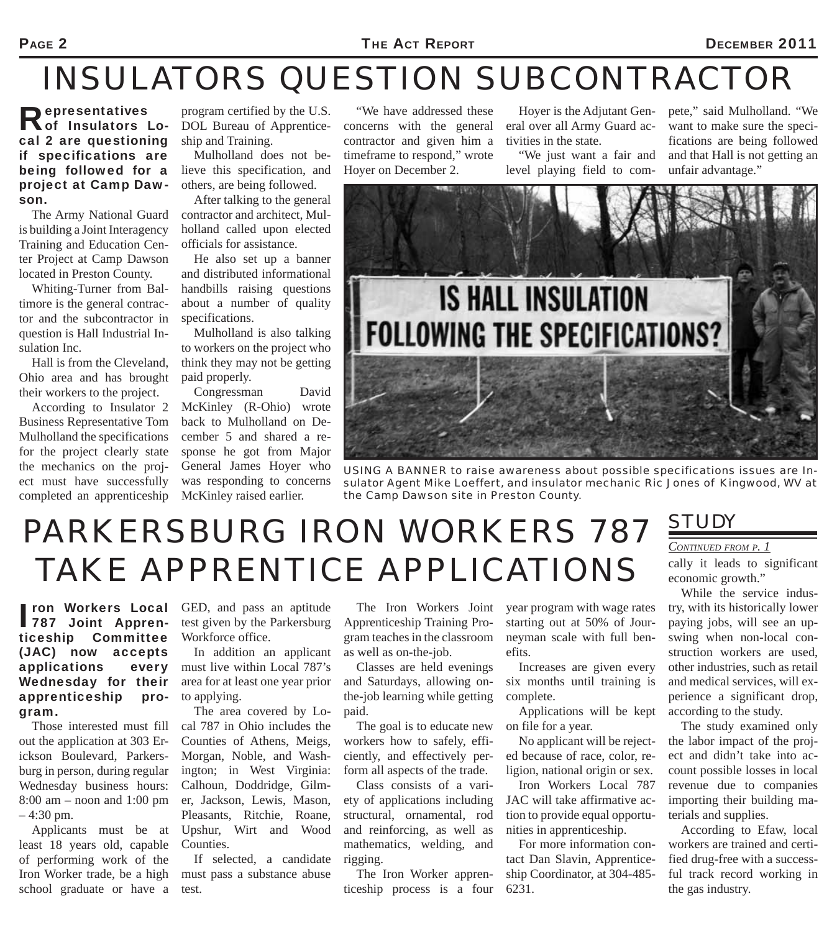#### *INSULATORS QUESTION SUBCONTRACTOR*

Representatives of Insulators Local 2 are questioning if specifications are being followed for a project at Camp Dawson.

The Army National Guard is building a Joint Interagency Training and Education Center Project at Camp Dawson located in Preston County.

Whiting-Turner from Baltimore is the general contractor and the subcontractor in question is Hall Industrial Insulation Inc.

Hall is from the Cleveland, Ohio area and has brought their workers to the project.

According to Insulator 2 Business Representative Tom Mulholland the specifications for the project clearly state the mechanics on the project must have successfully completed an apprenticeship

program certified by the U.S. DOL Bureau of Apprenticeship and Training.

Mulholland does not believe this specification, and others, are being followed.

After talking to the general contractor and architect, Mulholland called upon elected officials for assistance.

He also set up a banner and distributed informational handbills raising questions about a number of quality specifications.

Mulholland is also talking to workers on the project who think they may not be getting paid properly.

Congressman David McKinley (R-Ohio) wrote back to Mulholland on December 5 and shared a response he got from Major General James Hoyer who was responding to concerns McKinley raised earlier.

"We have addressed these concerns with the general contractor and given him a timeframe to respond," wrote Hoyer on December 2.

Hoyer is the Adjutant General over all Army Guard activities in the state.

"We just want a fair and level playing field to compete," said Mulholland. "We want to make sure the specifications are being followed and that Hall is not getting an unfair advantage."



*USING A BANNER to raise awareness about possible specifications issues are Insulator Agent Mike Loeffert, and insulator mechanic Ric Jones of Kingwood, WV at the Camp Dawson site in Preston County.* 

#### *PARKERSBURG IRON WORKERS 787 TAKE APPRENTICE APPLICATIONS*

Tron Workers Local<br>
787 Joint Apprenticeship Committee (JAC) now accepts applications every Wednesday for their apprenticeship program.

out the application at 303 Erickson Boulevard, Parkersburg in person, during regular Wednesday business hours: 8:00 am – noon and 1:00 pm – 4:30 pm.

Applicants must be at least 18 years old, capable of performing work of the Iron Worker trade, be a high must pass a substance abuse school graduate or have a

ron Workers Local GED, and pass an aptitude test given by the Parkersburg Workforce office.

In addition an applicant must live within Local 787's area for at least one year prior to applying.

Those interested must fill cal 787 in Ohio includes the The area covered by Lo-Counties of Athens, Meigs, Morgan, Noble, and Washington; in West Virginia: Calhoun, Doddridge, Gilmer, Jackson, Lewis, Mason, Pleasants, Ritchie, Roane, Upshur, Wirt and Wood Counties.

> If selected, a candidate test.

The Iron Workers Joint Apprenticeship Training Program teaches in the classroom as well as on-the-job.

Classes are held evenings and Saturdays, allowing onthe-job learning while getting paid.

The goal is to educate new workers how to safely, efficiently, and effectively perform all aspects of the trade.

Class consists of a variety of applications including structural, ornamental, rod and reinforcing, as well as mathematics, welding, and rigging.

The Iron Worker apprenticeship process is a four

year program with wage rates starting out at 50% of Journeyman scale with full benefits.

Increases are given every six months until training is complete.

Applications will be kept on file for a year.

No applicant will be rejected because of race, color, religion, national origin or sex.

Iron Workers Local 787 JAC will take affirmative action to provide equal opportunities in apprenticeship.

For more information contact Dan Slavin, Apprenticeship Coordinator, at 304-485- 6231.

#### *STUDY*

*CONTINUED FROM P. 1*

cally it leads to significant economic growth."

While the service industry, with its historically lower paying jobs, will see an upswing when non-local construction workers are used, other industries, such as retail and medical services, will experience a significant drop, according to the study.

The study examined only the labor impact of the project and didn't take into account possible losses in local revenue due to companies importing their building materials and supplies.

According to Efaw, local workers are trained and certified drug-free with a successful track record working in the gas industry.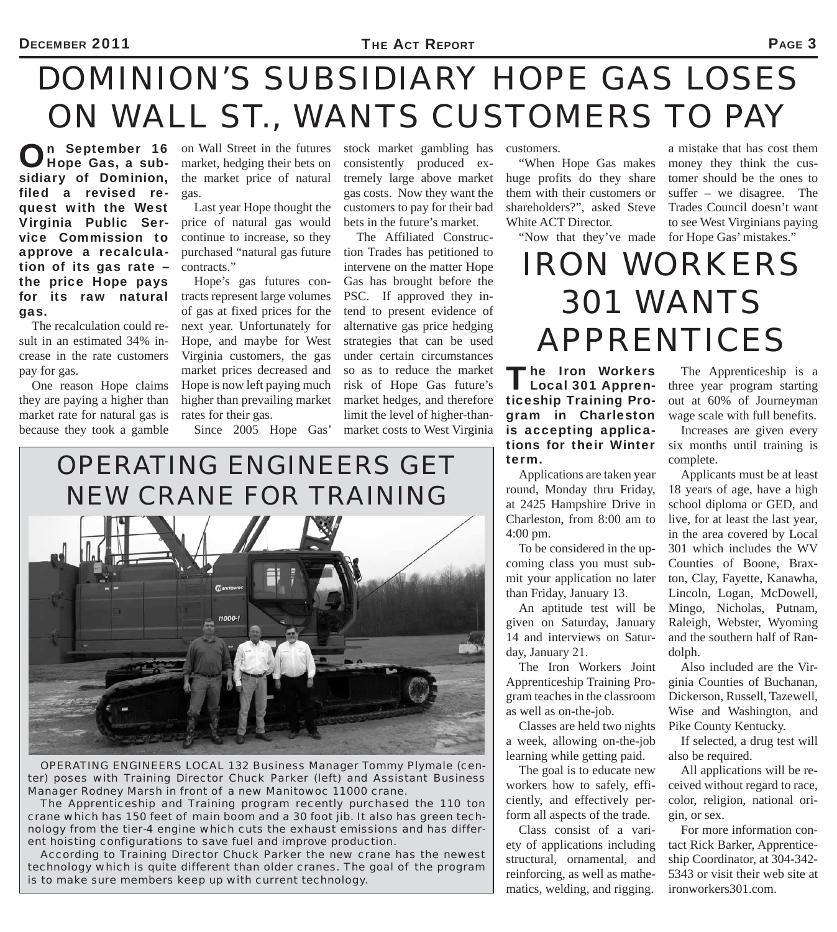#### *DOMINION'S SUBSIDIARY HOPE GAS LOSES ON WALL ST., WANTS CUSTOMERS TO PAY*

On September 16 Hope Gas, a subsidiary of Dominion, filed a revised request with the West Virginia Public Service Commission to approve a recalculation of its gas rate – the price Hope pays for its raw natural gas.

The recalculation could result in an estimated 34% increase in the rate customers pay for gas.

One reason Hope claims they are paying a higher than market rate for natural gas is because they took a gamble

**n** September 16 on Wall Street in the futures market, hedging their bets on the market price of natural gas.

> Last year Hope thought the price of natural gas would continue to increase, so they purchased "natural gas future contracts."

Hope's gas futures contracts represent large volumes of gas at fixed prices for the next year. Unfortunately for Hope, and maybe for West Virginia customers, the gas market prices decreased and Hope is now left paying much higher than prevailing market rates for their gas.

Since 2005 Hope Gas'

stock market gambling has consistently produced extremely large above market gas costs. Now they want the customers to pay for their bad bets in the future's market.

The Affiliated Construction Trades has petitioned to intervene on the matter Hope Gas has brought before the PSC. If approved they intend to present evidence of alternative gas price hedging strategies that can be used under certain circumstances so as to reduce the market risk of Hope Gas future's market hedges, and therefore limit the level of higher-thanmarket costs to West Virginia

customers.

"When Hope Gas makes huge profits do they share them with their customers or shareholders?", asked Steve White ACT Director.

"Now that they've made

a mistake that has cost them money they think the customer should be the ones to suffer – we disagree. The Trades Council doesn't want to see West Virginians paying for Hope Gas' mistakes."

#### *IRON WORKERS 301 WANTS APPRENTICES*

The Iron Workers<br>
Local 301 Apprenticeship Training Program in Charleston is accepting applications for their Winter term.

Applications are taken year round, Monday thru Friday, at 2425 Hampshire Drive in Charleston, from 8:00 am to 4:00 pm.

To be considered in the upcoming class you must submit your application no later than Friday, January 13.

An aptitude test will be given on Saturday, January 14 and interviews on Saturday, January 21.

The Iron Workers Joint Apprenticeship Training Program teaches in the classroom as well as on-the-job.

Classes are held two nights a week, allowing on-the-job learning while getting paid.

The goal is to educate new workers how to safely, efficiently, and effectively perform all aspects of the trade.

Class consist of a variety of applications including structural, ornamental, and reinforcing, as well as mathematics, welding, and rigging.

The Apprenticeship is a three year program starting out at 60% of Journeyman wage scale with full benefits.

Increases are given every six months until training is complete.

Applicants must be at least 18 years of age, have a high school diploma or GED, and live, for at least the last year, in the area covered by Local 301 which includes the WV Counties of Boone, Braxton, Clay, Fayette, Kanawha, Lincoln, Logan, McDowell, Mingo, Nicholas, Putnam, Raleigh, Webster, Wyoming and the southern half of Randolph.

Also included are the Virginia Counties of Buchanan, Dickerson, Russell, Tazewell, Wise and Washington, and Pike County Kentucky.

If selected, a drug test will also be required.

All applications will be received without regard to race, color, religion, national origin, or sex.

For more information contact Rick Barker, Apprenticeship Coordinator, at 304-342- 5343 or visit their web site at ironworkers301.com.

# *OPERATING ENGINEERS GET NEW CRANE FOR TRAINING*

*OPERATING ENGINEERS LOCAL 132 Business Manager Tommy Plymale (center) poses with Training Director Chuck Parker (left) and Assistant Business Manager Rodney Marsh in front of a new Manitowoc 11000 crane.* 

*The Apprenticeship and Training program recently purchased the 110 ton crane which has 150 feet of main boom and a 30 foot jib. It also has green technology from the tier-4 engine which cuts the exhaust emissions and has different hoisting configurations to save fuel and improve production.*

*According to Training Director Chuck Parker the new crane has the newest technology which is quite different than older cranes. The goal of the program is to make sure members keep up with current technology.*